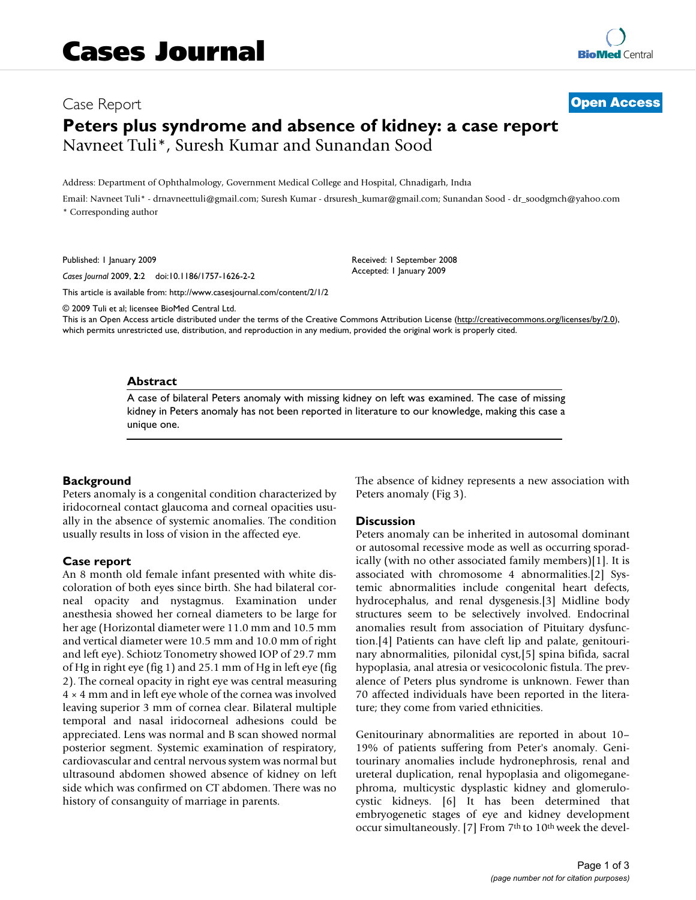# Case Report **[Open Access](http://www.biomedcentral.com/info/about/charter/) Peters plus syndrome and absence of kidney: a case report** Navneet Tuli\*, Suresh Kumar and Sunandan Sood

Address: Department of Ophthalmology, Government Medical College and Hospital, Chnadigarh, Indıa

Email: Navneet Tuli\* - drnavneettuli@gmail.com; Suresh Kumar - drsuresh\_kumar@gmail.com; Sunandan Sood - dr\_soodgmch@yahoo.com \* Corresponding author

Published: 1 January 2009

*Cases Journal* 2009, **2**:2 doi:10.1186/1757-1626-2-2

[This article is available from: http://www.casesjournal.com/content/2/1/2](http://www.casesjournal.com/content/2/1/2)

© 2009 Tuli et al; licensee BioMed Central Ltd.

This is an Open Access article distributed under the terms of the Creative Commons Attribution License [\(http://creativecommons.org/licenses/by/2.0\)](http://creativecommons.org/licenses/by/2.0), which permits unrestricted use, distribution, and reproduction in any medium, provided the original work is properly cited.

### **Abstract**

A case of bilateral Peters anomaly with missing kidney on left was examined. The case of missing kidney in Peters anomaly has not been reported in literature to our knowledge, making this case a unique one.

# **Background**

Peters anomaly is a congenital condition characterized by iridocorneal contact glaucoma and corneal opacities usually in the absence of systemic anomalies. The condition usually results in loss of vision in the affected eye.

# **Case report**

An 8 month old female infant presented with white discoloration of both eyes since birth. She had bilateral corneal opacity and nystagmus. Examination under anesthesia showed her corneal diameters to be large for her age (Horizontal diameter were 11.0 mm and 10.5 mm and vertical diameter were 10.5 mm and 10.0 mm of right and left eye). Schiotz Tonometry showed IOP of 29.7 mm of Hg in right eye (fig 1) and 25.1 mm of Hg in left eye (fig 2). The corneal opacity in right eye was central measuring  $4 \times 4$  mm and in left eye whole of the cornea was involved leaving superior 3 mm of cornea clear. Bilateral multiple temporal and nasal iridocorneal adhesions could be appreciated. Lens was normal and B scan showed normal posterior segment. Systemic examination of respiratory, cardiovascular and central nervous system was normal but ultrasound abdomen showed absence of kidney on left side which was confirmed on CT abdomen. There was no history of consanguity of marriage in parents.

The absence of kidney represents a new association with Peters anomaly (Fig 3).

#### **Discussion**

Received: 1 September 2008 Accepted: 1 January 2009

Peters anomaly can be inherited in autosomal dominant or autosomal recessive mode as well as occurring sporadically (with no other associated family members)[1]. It is associated with chromosome 4 abnormalities.[2] Systemic abnormalities include congenital heart defects, hydrocephalus, and renal dysgenesis.[3] Midline body structures seem to be selectively involved. Endocrinal anomalies result from association of Pituitary dysfunction.[4] Patients can have cleft lip and palate, genitourinary abnormalities, pilonidal cyst,[5] spina bifida, sacral hypoplasia, anal atresia or vesicocolonic fistula. The prevalence of Peters plus syndrome is unknown. Fewer than 70 affected individuals have been reported in the literature; they come from varied ethnicities.

Genitourinary abnormalities are reported in about 10– 19% of patients suffering from Peter's anomaly. Genitourinary anomalies include hydronephrosis, renal and ureteral duplication, renal hypoplasia and oligomeganephroma, multicystic dysplastic kidney and glomerulocystic kidneys. [6] It has been determined that embryogenetic stages of eye and kidney development occur simultaneously. [7] From 7<sup>th</sup> to 10<sup>th</sup> week the devel-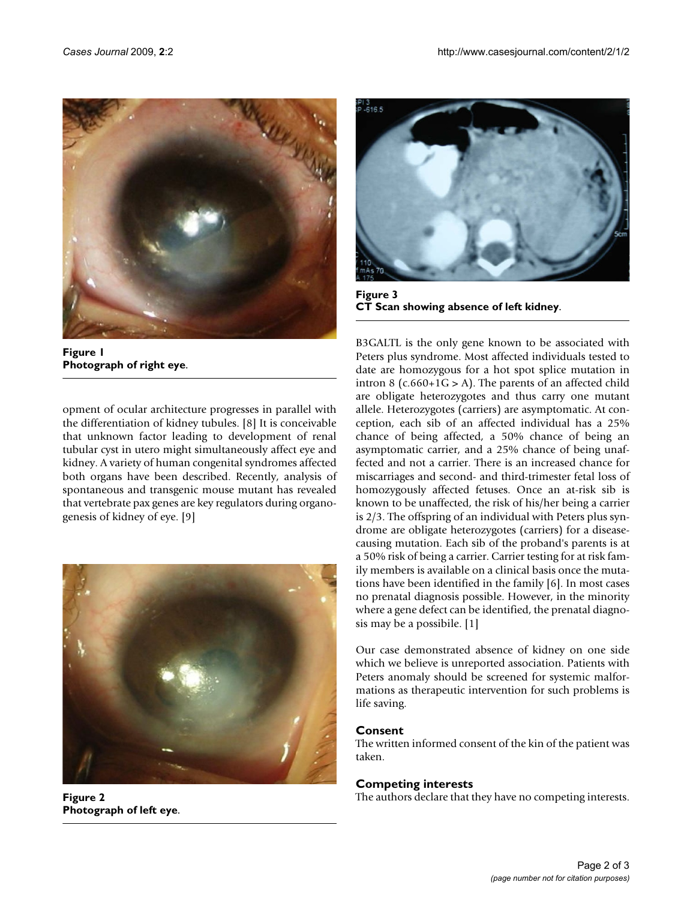

**Figure 1 Photograph of right eye**.

opment of ocular architecture progresses in parallel with the differentiation of kidney tubules. [8] It is conceivable that unknown factor leading to development of renal tubular cyst in utero might simultaneously affect eye and kidney. A variety of human congenital syndromes affected both organs have been described. Recently, analysis of spontaneous and transgenic mouse mutant has revealed that vertebrate pax genes are key regulators during organogenesis of kidney of eye. [9]



**Figure 2 Photograph of left eye**.



**Figure 3 CT Scan showing absence of left kidney**.

B3GALTL is the only gene known to be associated with Peters plus syndrome. Most affected individuals tested to date are homozygous for a hot spot splice mutation in intron 8 ( $c.660+1G > A$ ). The parents of an affected child are obligate heterozygotes and thus carry one mutant allele. Heterozygotes (carriers) are asymptomatic. At conception, each sib of an affected individual has a 25% chance of being affected, a 50% chance of being an asymptomatic carrier, and a 25% chance of being unaffected and not a carrier. There is an increased chance for miscarriages and second- and third-trimester fetal loss of homozygously affected fetuses. Once an at-risk sib is known to be unaffected, the risk of his/her being a carrier is 2/3. The offspring of an individual with Peters plus syndrome are obligate heterozygotes (carriers) for a diseasecausing mutation. Each sib of the proband's parents is at a 50% risk of being a carrier. Carrier testing for at risk family members is available on a clinical basis once the mutations have been identified in the family [6]. In most cases no prenatal diagnosis possible. However, in the minority where a gene defect can be identified, the prenatal diagnosis may be a possibile. [1]

Our case demonstrated absence of kidney on one side which we believe is unreported association. Patients with Peters anomaly should be screened for systemic malformations as therapeutic intervention for such problems is life saving.

# **Consent**

The written informed consent of the kin of the patient was taken.

# **Competing interests**

The authors declare that they have no competing interests.